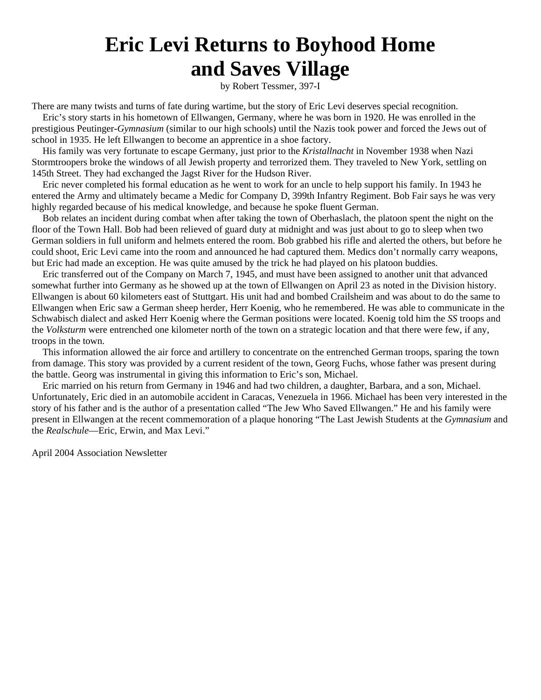## **Eric Levi Returns to Boyhood Home and Saves Village**

by Robert Tessmer, 397-I

There are many twists and turns of fate during wartime, but the story of Eric Levi deserves special recognition.

Eric's story starts in his hometown of Ellwangen, Germany, where he was born in 1920. He was enrolled in the prestigious Peutinger-*Gymnasium* (similar to our high schools) until the Nazis took power and forced the Jews out of school in 1935. He left Ellwangen to become an apprentice in a shoe factory.

His family was very fortunate to escape Germany, just prior to the *Kristallnacht* in November 1938 when Nazi Stormtroopers broke the windows of all Jewish property and terrorized them. They traveled to New York, settling on 145th Street. They had exchanged the Jagst River for the Hudson River.

Eric never completed his formal education as he went to work for an uncle to help support his family. In 1943 he entered the Army and ultimately became a Medic for Company D, 399th Infantry Regiment. Bob Fair says he was very highly regarded because of his medical knowledge, and because he spoke fluent German.

Bob relates an incident during combat when after taking the town of Oberhaslach, the platoon spent the night on the floor of the Town Hall. Bob had been relieved of guard duty at midnight and was just about to go to sleep when two German soldiers in full uniform and helmets entered the room. Bob grabbed his rifle and alerted the others, but before he could shoot, Eric Levi came into the room and announced he had captured them. Medics don't normally carry weapons, but Eric had made an exception. He was quite amused by the trick he had played on his platoon buddies.

Eric transferred out of the Company on March 7, 1945, and must have been assigned to another unit that advanced somewhat further into Germany as he showed up at the town of Ellwangen on April 23 as noted in the Division history. Ellwangen is about 60 kilometers east of Stuttgart. His unit had and bombed Crailsheim and was about to do the same to Ellwangen when Eric saw a German sheep herder, Herr Koenig, who he remembered. He was able to communicate in the Schwabisch dialect and asked Herr Koenig where the German positions were located. Koenig told him the *SS* troops and the *Volksturm* were entrenched one kilometer north of the town on a strategic location and that there were few, if any, troops in the town.

This information allowed the air force and artillery to concentrate on the entrenched German troops, sparing the town from damage. This story was provided by a current resident of the town, Georg Fuchs, whose father was present during the battle. Georg was instrumental in giving this information to Eric's son, Michael.

Eric married on his return from Germany in 1946 and had two children, a daughter, Barbara, and a son, Michael. Unfortunately, Eric died in an automobile accident in Caracas, Venezuela in 1966. Michael has been very interested in the story of his father and is the author of a presentation called "The Jew Who Saved Ellwangen." He and his family were present in Ellwangen at the recent commemoration of a plaque honoring "The Last Jewish Students at the *Gymnasium* and the *Realschule*—Eric, Erwin, and Max Levi."

April 2004 Association Newsletter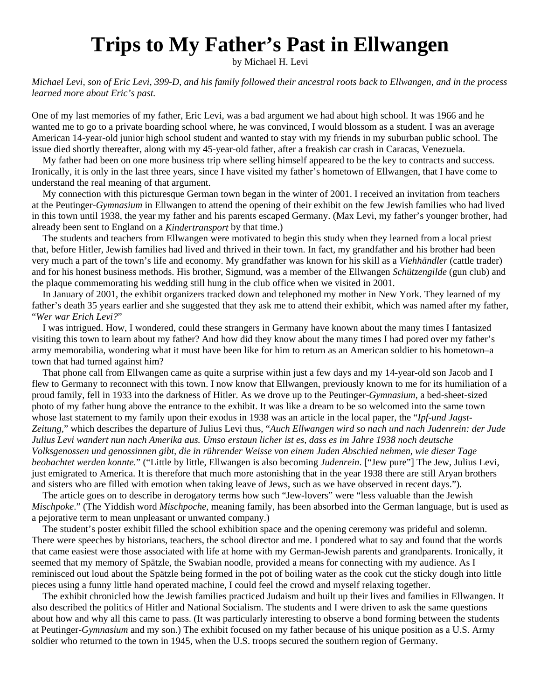## **Trips to My Father's Past in Ellwangen**

by Michael H. Levi

*Michael Levi, son of Eric Levi, 399-D, and his family followed their ancestral roots back to Ellwangen, and in the process learned more about Eric's past.*

One of my last memories of my father, Eric Levi, was a bad argument we had about high school. It was 1966 and he wanted me to go to a private boarding school where, he was convinced, I would blossom as a student. I was an average American 14-year-old junior high school student and wanted to stay with my friends in my suburban public school. The issue died shortly thereafter, along with my 45-year-old father, after a freakish car crash in Caracas, Venezuela.

My father had been on one more business trip where selling himself appeared to be the key to contracts and success. Ironically, it is only in the last three years, since I have visited my father's hometown of Ellwangen, that I have come to understand the real meaning of that argument.

My connection with this picturesque German town began in the winter of 2001. I received an invitation from teachers at the Peutinger-*Gymnasium* in Ellwangen to attend the opening of their exhibit on the few Jewish families who had lived in this town until 1938, the year my father and his parents escaped Germany. (Max Levi, my father's younger brother, had already been sent to England on a *Kindertransport* by that time.)

The students and teachers from Ellwangen were motivated to begin this study when they learned from a local priest that, before Hitler, Jewish families had lived and thrived in their town. In fact, my grandfather and his brother had been very much a part of the town's life and economy. My grandfather was known for his skill as a *Viehhändler* (cattle trader) and for his honest business methods. His brother, Sigmund, was a member of the Ellwangen *Schützengilde* (gun club) and the plaque commemorating his wedding still hung in the club office when we visited in 2001.

In January of 2001, the exhibit organizers tracked down and telephoned my mother in New York. They learned of my father's death 35 years earlier and she suggested that they ask me to attend their exhibit, which was named after my father, "*Wer war Erich Levi?*"

I was intrigued. How, I wondered, could these strangers in Germany have known about the many times I fantasized visiting this town to learn about my father? And how did they know about the many times I had pored over my father's army memorabilia, wondering what it must have been like for him to return as an American soldier to his hometown–a town that had turned against him?

That phone call from Ellwangen came as quite a surprise within just a few days and my 14-year-old son Jacob and I flew to Germany to reconnect with this town. I now know that Ellwangen, previously known to me for its humiliation of a proud family, fell in 1933 into the darkness of Hitler. As we drove up to the Peutinger-*Gymnasium,* a bed-sheet-sized photo of my father hung above the entrance to the exhibit. It was like a dream to be so welcomed into the same town whose last statement to my family upon their exodus in 1938 was an article in the local paper, the "*Ipf-und Jagst-Zeitung,*" which describes the departure of Julius Levi thus, "*Auch Ellwangen wird so nach und nach Judenrein: der Jude Julius Levi wandert nun nach Amerika aus. Umso erstaun licher ist es, dass es im Jahre 1938 noch deutsche Volksgenossen und genossinnen gibt, die in rührender Weisse von einem Juden Abschied nehmen, wie dieser Tage beobachtet werden konnte.*" ("Little by little, Ellwangen is also becoming *Judenrein*. ["Jew pure"] The Jew, Julius Levi, just emigrated to America. It is therefore that much more astonishing that in the year 1938 there are still Aryan brothers and sisters who are filled with emotion when taking leave of Jews, such as we have observed in recent days.").

The article goes on to describe in derogatory terms how such "Jew-lovers" were "less valuable than the Jewish *Mischpoke*." (The Yiddish word *Mischpoche*, meaning family, has been absorbed into the German language, but is used as a pejorative term to mean unpleasant or unwanted company.)

The student's poster exhibit filled the school exhibition space and the opening ceremony was prideful and solemn. There were speeches by historians, teachers, the school director and me. I pondered what to say and found that the words that came easiest were those associated with life at home with my German-Jewish parents and grandparents. Ironically, it seemed that my memory of Spätzle, the Swabian noodle, provided a means for connecting with my audience. As I reminisced out loud about the Spätzle being formed in the pot of boiling water as the cook cut the sticky dough into little pieces using a funny little hand operated machine, I could feel the crowd and myself relaxing together.

The exhibit chronicled how the Jewish families practiced Judaism and built up their lives and families in Ellwangen. It also described the politics of Hitler and National Socialism. The students and I were driven to ask the same questions about how and why all this came to pass. (It was particularly interesting to observe a bond forming between the students at Peutinger-*Gymnasium* and my son.) The exhibit focused on my father because of his unique position as a U.S. Army soldier who returned to the town in 1945, when the U.S. troops secured the southern region of Germany.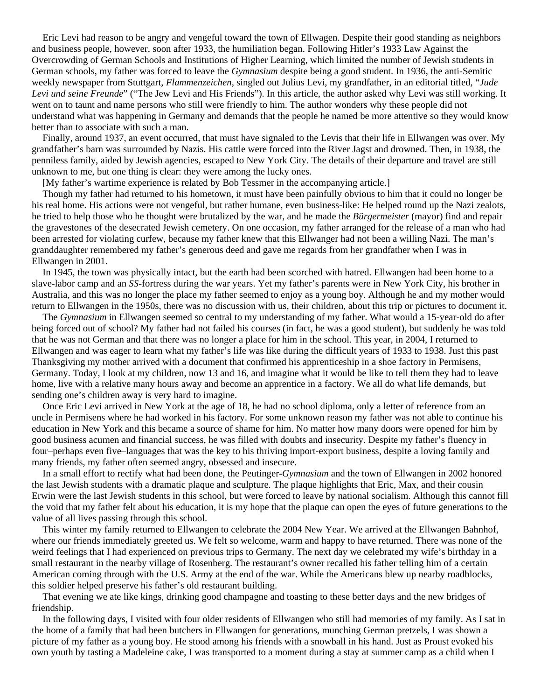Eric Levi had reason to be angry and vengeful toward the town of Ellwagen. Despite their good standing as neighbors and business people, however, soon after 1933, the humiliation began. Following Hitler's 1933 Law Against the Overcrowding of German Schools and Institutions of Higher Learning, which limited the number of Jewish students in German schools, my father was forced to leave the *Gymnasium* despite being a good student. In 1936, the anti-Semitic weekly newspaper from Stuttgart, *Flammenzeichen,* singled out Julius Levi, my grandfather, in an editorial titled, "*Jude Levi und seine Freunde*" ("The Jew Levi and His Friends"). In this article, the author asked why Levi was still working. It went on to taunt and name persons who still were friendly to him. The author wonders why these people did not understand what was happening in Germany and demands that the people he named be more attentive so they would know better than to associate with such a man.

Finally, around 1937, an event occurred, that must have signaled to the Levis that their life in Ellwangen was over. My grandfather's barn was surrounded by Nazis. His cattle were forced into the River Jagst and drowned. Then, in 1938, the penniless family, aided by Jewish agencies, escaped to New York City. The details of their departure and travel are still unknown to me, but one thing is clear: they were among the lucky ones.

[My father's wartime experience is related by Bob Tessmer in the accompanying article.]

Though my father had returned to his hometown, it must have been painfully obvious to him that it could no longer be his real home. His actions were not vengeful, but rather humane, even business-like: He helped round up the Nazi zealots, he tried to help those who he thought were brutalized by the war, and he made the *Bürgermeister* (mayor) find and repair the gravestones of the desecrated Jewish cemetery. On one occasion, my father arranged for the release of a man who had been arrested for violating curfew, because my father knew that this Ellwanger had not been a willing Nazi. The man's granddaughter remembered my father's generous deed and gave me regards from her grandfather when I was in Ellwangen in 2001.

In 1945, the town was physically intact, but the earth had been scorched with hatred. Ellwangen had been home to a slave-labor camp and an *SS*-fortress during the war years. Yet my father's parents were in New York City, his brother in Australia, and this was no longer the place my father seemed to enjoy as a young boy. Although he and my mother would return to Ellwangen in the 1950s, there was no discussion with us, their children, about this trip or pictures to document it.

The *Gymnasium* in Ellwangen seemed so central to my understanding of my father. What would a 15-year-old do after being forced out of school? My father had not failed his courses (in fact, he was a good student), but suddenly he was told that he was not German and that there was no longer a place for him in the school. This year, in 2004, I returned to Ellwangen and was eager to learn what my father's life was like during the difficult years of 1933 to 1938. Just this past Thanksgiving my mother arrived with a document that confirmed his apprenticeship in a shoe factory in Permisens, Germany. Today, I look at my children, now 13 and 16, and imagine what it would be like to tell them they had to leave home, live with a relative many hours away and become an apprentice in a factory. We all do what life demands, but sending one's children away is very hard to imagine.

Once Eric Levi arrived in New York at the age of 18, he had no school diploma, only a letter of reference from an uncle in Permisens where he had worked in his factory. For some unknown reason my father was not able to continue his education in New York and this became a source of shame for him. No matter how many doors were opened for him by good business acumen and financial success, he was filled with doubts and insecurity. Despite my father's fluency in four–perhaps even five–languages that was the key to his thriving import-export business, despite a loving family and many friends, my father often seemed angry, obsessed and insecure.

In a small effort to rectify what had been done, the Peutinger-*Gymnasium* and the town of Ellwangen in 2002 honored the last Jewish students with a dramatic plaque and sculpture. The plaque highlights that Eric, Max, and their cousin Erwin were the last Jewish students in this school, but were forced to leave by national socialism. Although this cannot fill the void that my father felt about his education, it is my hope that the plaque can open the eyes of future generations to the value of all lives passing through this school.

This winter my family returned to Ellwangen to celebrate the 2004 New Year. We arrived at the Ellwangen Bahnhof, where our friends immediately greeted us. We felt so welcome, warm and happy to have returned. There was none of the weird feelings that I had experienced on previous trips to Germany. The next day we celebrated my wife's birthday in a small restaurant in the nearby village of Rosenberg. The restaurant's owner recalled his father telling him of a certain American coming through with the U.S. Army at the end of the war. While the Americans blew up nearby roadblocks, this soldier helped preserve his father's old restaurant building.

That evening we ate like kings, drinking good champagne and toasting to these better days and the new bridges of friendship.

In the following days, I visited with four older residents of Ellwangen who still had memories of my family. As I sat in the home of a family that had been butchers in Ellwangen for generations, munching German pretzels, I was shown a picture of my father as a young boy. He stood among his friends with a snowball in his hand. Just as Proust evoked his own youth by tasting a Madeleine cake, I was transported to a moment during a stay at summer camp as a child when I